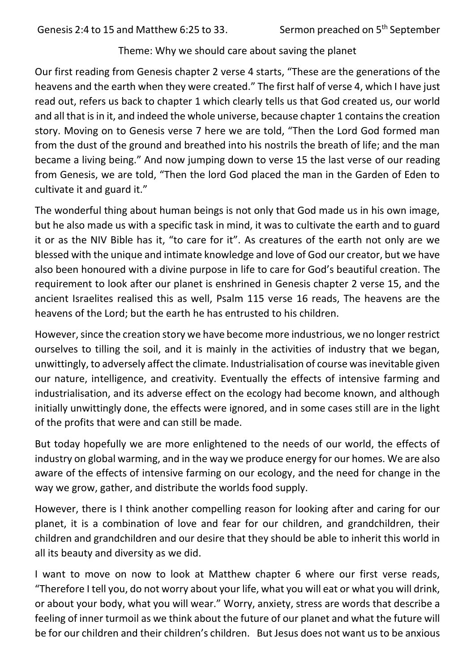Theme: Why we should care about saving the planet

Our first reading from Genesis chapter 2 verse 4 starts, "These are the generations of the heavens and the earth when they were created." The first half of verse 4, which I have just read out, refers us back to chapter 1 which clearly tells us that God created us, our world and all that is in it, and indeed the whole universe, because chapter 1 contains the creation story. Moving on to Genesis verse 7 here we are told, "Then the Lord God formed man from the dust of the ground and breathed into his nostrils the breath of life; and the man became a living being." And now jumping down to verse 15 the last verse of our reading from Genesis, we are told, "Then the lord God placed the man in the Garden of Eden to cultivate it and guard it."

The wonderful thing about human beings is not only that God made us in his own image, but he also made us with a specific task in mind, it was to cultivate the earth and to guard it or as the NIV Bible has it, "to care for it". As creatures of the earth not only are we blessed with the unique and intimate knowledge and love of God our creator, but we have also been honoured with a divine purpose in life to care for God's beautiful creation. The requirement to look after our planet is enshrined in Genesis chapter 2 verse 15, and the ancient Israelites realised this as well, Psalm 115 verse 16 reads, The heavens are the heavens of the Lord; but the earth he has entrusted to his children.

However, since the creation story we have become more industrious, we no longer restrict ourselves to tilling the soil, and it is mainly in the activities of industry that we began, unwittingly, to adversely affect the climate. Industrialisation of course was inevitable given our nature, intelligence, and creativity. Eventually the effects of intensive farming and industrialisation, and its adverse effect on the ecology had become known, and although initially unwittingly done, the effects were ignored, and in some cases still are in the light of the profits that were and can still be made.

But today hopefully we are more enlightened to the needs of our world, the effects of industry on global warming, and in the way we produce energy for our homes. We are also aware of the effects of intensive farming on our ecology, and the need for change in the way we grow, gather, and distribute the worlds food supply.

However, there is I think another compelling reason for looking after and caring for our planet, it is a combination of love and fear for our children, and grandchildren, their children and grandchildren and our desire that they should be able to inherit this world in all its beauty and diversity as we did.

I want to move on now to look at Matthew chapter 6 where our first verse reads, "Therefore I tell you, do not worry about your life, what you will eat or what you will drink, or about your body, what you will wear." Worry, anxiety, stress are words that describe a feeling of inner turmoil as we think about the future of our planet and what the future will be for our children and their children's children. But Jesus does not want us to be anxious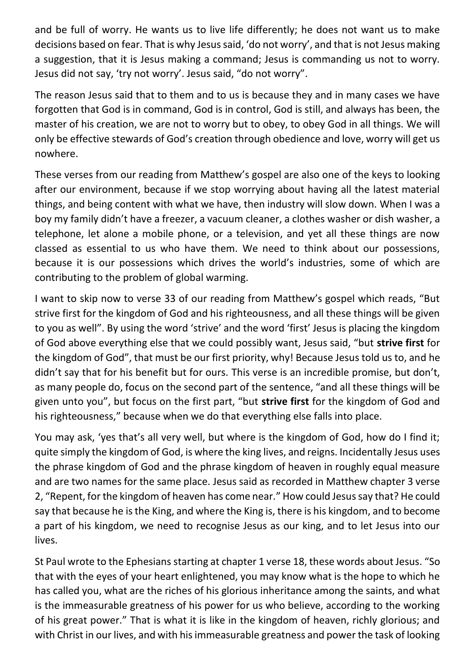and be full of worry. He wants us to live life differently; he does not want us to make decisions based on fear. That is why Jesus said, 'do not worry', and that is not Jesus making a suggestion, that it is Jesus making a command; Jesus is commanding us not to worry. Jesus did not say, 'try not worry'. Jesus said, "do not worry".

The reason Jesus said that to them and to us is because they and in many cases we have forgotten that God is in command, God is in control, God is still, and always has been, the master of his creation, we are not to worry but to obey, to obey God in all things. We will only be effective stewards of God's creation through obedience and love, worry will get us nowhere.

These verses from our reading from Matthew's gospel are also one of the keys to looking after our environment, because if we stop worrying about having all the latest material things, and being content with what we have, then industry will slow down. When I was a boy my family didn't have a freezer, a vacuum cleaner, a clothes washer or dish washer, a telephone, let alone a mobile phone, or a television, and yet all these things are now classed as essential to us who have them. We need to think about our possessions, because it is our possessions which drives the world's industries, some of which are contributing to the problem of global warming.

I want to skip now to verse 33 of our reading from Matthew's gospel which reads, "But strive first for the kingdom of God and his righteousness, and all these things will be given to you as well". By using the word 'strive' and the word 'first' Jesus is placing the kingdom of God above everything else that we could possibly want, Jesus said, "but **strive first** for the kingdom of God", that must be our first priority, why! Because Jesus told us to, and he didn't say that for his benefit but for ours. This verse is an incredible promise, but don't, as many people do, focus on the second part of the sentence, "and all these things will be given unto you", but focus on the first part, "but **strive first** for the kingdom of God and his righteousness," because when we do that everything else falls into place.

You may ask, 'yes that's all very well, but where is the kingdom of God, how do I find it; quite simply the kingdom of God, is where the king lives, and reigns. Incidentally Jesus uses the phrase kingdom of God and the phrase kingdom of heaven in roughly equal measure and are two names for the same place. Jesus said as recorded in Matthew chapter 3 verse 2, "Repent, for the kingdom of heaven has come near." How could Jesus say that? He could say that because he is the King, and where the King is, there is his kingdom, and to become a part of his kingdom, we need to recognise Jesus as our king, and to let Jesus into our lives.

St Paul wrote to the Ephesians starting at chapter 1 verse 18, these words about Jesus. "So that with the eyes of your heart enlightened, you may know what is the hope to which he has called you, what are the riches of his glorious inheritance among the saints, and what is the immeasurable greatness of his power for us who believe, according to the working of his great power." That is what it is like in the kingdom of heaven, richly glorious; and with Christ in our lives, and with his immeasurable greatness and power the task of looking